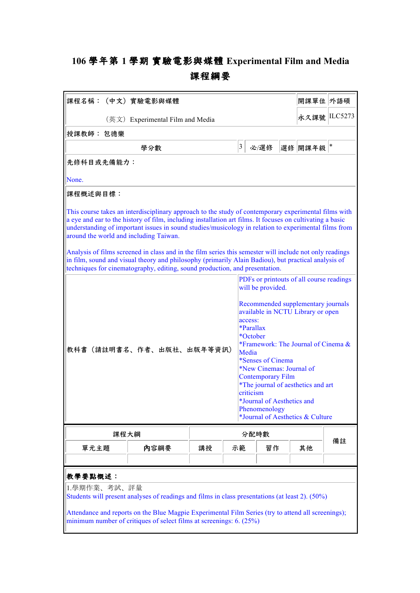## **106 學年第 1 學期 實驗電影與媒體 Experimental Film and Media 課程綱要**

| 課程名稱: (中文)實驗電影與媒體                                                                                                                                                                                                                                                                                                                                                   |      |      |    | 開課單位 外語碩                                                                                                                                                                                                                                                                                                                                                                                                                                        |  |         |        |
|---------------------------------------------------------------------------------------------------------------------------------------------------------------------------------------------------------------------------------------------------------------------------------------------------------------------------------------------------------------------|------|------|----|-------------------------------------------------------------------------------------------------------------------------------------------------------------------------------------------------------------------------------------------------------------------------------------------------------------------------------------------------------------------------------------------------------------------------------------------------|--|---------|--------|
| (英文) Experimental Film and Media                                                                                                                                                                                                                                                                                                                                    |      |      |    | 永久課號 ILC5273                                                                                                                                                                                                                                                                                                                                                                                                                                    |  |         |        |
| 授課教師: 包德樂                                                                                                                                                                                                                                                                                                                                                           |      |      |    |                                                                                                                                                                                                                                                                                                                                                                                                                                                 |  |         |        |
|                                                                                                                                                                                                                                                                                                                                                                     | 學分數  |      | 3  | 必/選修                                                                                                                                                                                                                                                                                                                                                                                                                                            |  | 選修 開課年級 | $\ast$ |
| 先修科目或先備能力:                                                                                                                                                                                                                                                                                                                                                          |      |      |    |                                                                                                                                                                                                                                                                                                                                                                                                                                                 |  |         |        |
| None.                                                                                                                                                                                                                                                                                                                                                               |      |      |    |                                                                                                                                                                                                                                                                                                                                                                                                                                                 |  |         |        |
| 課程概述與目標:                                                                                                                                                                                                                                                                                                                                                            |      |      |    |                                                                                                                                                                                                                                                                                                                                                                                                                                                 |  |         |        |
| This course takes an interdisciplinary approach to the study of contemporary experimental films with<br>a eye and ear to the history of film, including installation art films. It focuses on cultivating a basic<br>understanding of important issues in sound studies/musicology in relation to experimental films from<br>around the world and including Taiwan. |      |      |    |                                                                                                                                                                                                                                                                                                                                                                                                                                                 |  |         |        |
| Analysis of films screened in class and in the film series this semester will include not only readings<br>in film, sound and visual theory and philosophy (primarily Alain Badiou), but practical analysis of<br>techniques for cinematography, editing, sound production, and presentation.                                                                       |      |      |    |                                                                                                                                                                                                                                                                                                                                                                                                                                                 |  |         |        |
| 教科書(請註明書名、作者、出版社、出版年等資訊)                                                                                                                                                                                                                                                                                                                                            |      |      |    | PDFs or printouts of all course readings<br>will be provided.<br>Recommended supplementary journals<br>available in NCTU Library or open<br>access:<br>*Parallax<br>*October<br>*Framework: The Journal of Cinema &<br>Media<br>*Senses of Cinema<br>*New Cinemas: Journal of<br><b>Contemporary Film</b><br>*The journal of aesthetics and art<br>criticism<br>*Journal of Aesthetics and<br>Phenomenology<br>*Journal of Aesthetics & Culture |  |         |        |
| 課程大綱                                                                                                                                                                                                                                                                                                                                                                |      | 分配時數 |    |                                                                                                                                                                                                                                                                                                                                                                                                                                                 |  |         |        |
| 單元主題                                                                                                                                                                                                                                                                                                                                                                | 内容綱要 | 講授   | 示範 | 習作                                                                                                                                                                                                                                                                                                                                                                                                                                              |  | 其他      | 備註     |
| 教學要點概述:<br>1.學期作業、考試、評量<br>Students will present analyses of readings and films in class presentations (at least 2). (50%)<br>Attendance and reports on the Blue Magpie Experimental Film Series (try to attend all screenings);<br>minimum number of critiques of select films at screenings: 6. (25%)                                                             |      |      |    |                                                                                                                                                                                                                                                                                                                                                                                                                                                 |  |         |        |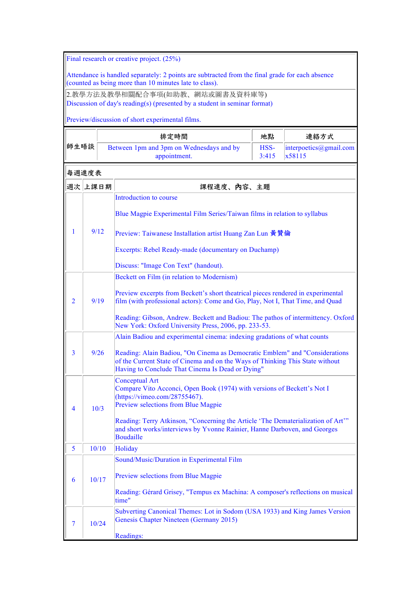Final research or creative project. (25%)

Attendance is handled separately: 2 points are subtracted from the final grade for each absence (counted as being more than 10 minutes late to class).

2.教學方法及教學相關配合事項(如助教、網站或圖書及資料庫等) Discussion of day's reading(s) (presented by a student in seminar format)

Preview/discussion of short experimental films.

|                |         | 排定時間                                                                                                                                                                                                             | 地點            | 連絡方式                             |  |  |  |
|----------------|---------|------------------------------------------------------------------------------------------------------------------------------------------------------------------------------------------------------------------|---------------|----------------------------------|--|--|--|
| 師生晤談           |         | Between 1pm and 3pm on Wednesdays and by<br>appointment.                                                                                                                                                         | HSS-<br>3:415 | interpoetics@gmail.com<br>x58115 |  |  |  |
|                | 每週進度表   |                                                                                                                                                                                                                  |               |                                  |  |  |  |
|                | 週次 上課日期 | 課程進度、內容、主題                                                                                                                                                                                                       |               |                                  |  |  |  |
|                |         | Introduction to course                                                                                                                                                                                           |               |                                  |  |  |  |
|                |         | Blue Magpie Experimental Film Series/Taiwan films in relation to syllabus                                                                                                                                        |               |                                  |  |  |  |
| 1              | 9/12    | Preview: Taiwanese Installation artist Huang Zan Lun 黃贊倫                                                                                                                                                         |               |                                  |  |  |  |
|                |         | Excerpts: Rebel Ready-made (documentary on Duchamp)                                                                                                                                                              |               |                                  |  |  |  |
|                |         | Discuss: "Image Con Text" (handout).                                                                                                                                                                             |               |                                  |  |  |  |
|                |         | Beckett on Film (in relation to Modernism)                                                                                                                                                                       |               |                                  |  |  |  |
| $\overline{2}$ | 9/19    | Preview excerpts from Beckett's short theatrical pieces rendered in experimental<br>film (with professional actors): Come and Go, Play, Not I, That Time, and Quad                                               |               |                                  |  |  |  |
|                |         | Reading: Gibson, Andrew. Beckett and Badiou: The pathos of intermittency. Oxford<br>New York: Oxford University Press, 2006, pp. 233-53.                                                                         |               |                                  |  |  |  |
|                |         | Alain Badiou and experimental cinema: indexing gradations of what counts                                                                                                                                         |               |                                  |  |  |  |
| $\overline{3}$ | 9/26    | Reading: Alain Badiou, "On Cinema as Democratic Emblem" and "Considerations<br>of the Current State of Cinema and on the Ways of Thinking This State without<br>Having to Conclude That Cinema Is Dead or Dying" |               |                                  |  |  |  |
| 4              | 10/3    | <b>Conceptual Art</b><br>Compare Vito Acconci, Open Book (1974) with versions of Beckett's Not I<br>(https://vimeo.com/28755467).<br>Preview selections from Blue Magpie                                         |               |                                  |  |  |  |
|                |         | Reading: Terry Atkinson, "Concerning the Article 'The Dematerialization of Art"<br>and short works/interviews by Yvonne Rainier, Hanne Darboven, and Georges<br><b>Boudaille</b>                                 |               |                                  |  |  |  |
| 5              | 10/10   | Holiday                                                                                                                                                                                                          |               |                                  |  |  |  |
|                | 10/17   | Sound/Music/Duration in Experimental Film                                                                                                                                                                        |               |                                  |  |  |  |
| 6              |         | Preview selections from Blue Magpie                                                                                                                                                                              |               |                                  |  |  |  |
|                |         | Reading: Gérard Grisey, "Tempus ex Machina: A composer's reflections on musical<br>time"                                                                                                                         |               |                                  |  |  |  |
| 7              | 10/24   | Subverting Canonical Themes: Lot in Sodom (USA 1933) and King James Version<br>Genesis Chapter Nineteen (Germany 2015)                                                                                           |               |                                  |  |  |  |
|                |         | Readings:                                                                                                                                                                                                        |               |                                  |  |  |  |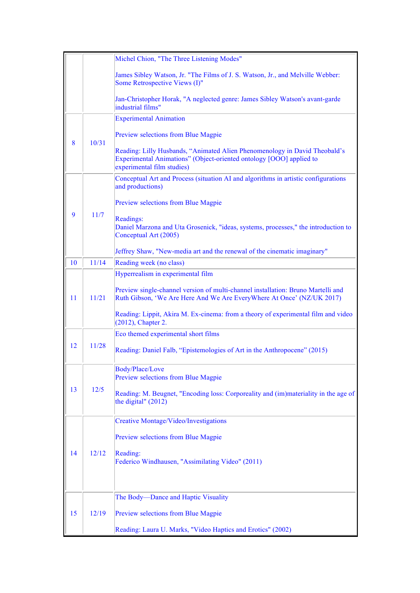|    |       | Michel Chion, "The Three Listening Modes"                                                                                                                                       |
|----|-------|---------------------------------------------------------------------------------------------------------------------------------------------------------------------------------|
|    |       | James Sibley Watson, Jr. "The Films of J. S. Watson, Jr., and Melville Webber:<br>Some Retrospective Views (I)"                                                                 |
|    |       | Jan-Christopher Horak, "A neglected genre: James Sibley Watson's avant-garde<br>industrial films"                                                                               |
|    |       | <b>Experimental Animation</b>                                                                                                                                                   |
|    |       | Preview selections from Blue Magpie                                                                                                                                             |
| 8  | 10/31 | Reading: Lilly Husbands, "Animated Alien Phenomenology in David Theobald's<br>Experimental Animations" (Object-oriented ontology [OOO] applied to<br>experimental film studies) |
|    |       | Conceptual Art and Process (situation AI and algorithms in artistic configurations<br>and productions)                                                                          |
| 9  | 11/7  | Preview selections from Blue Magpie                                                                                                                                             |
|    |       | Readings:<br>Daniel Marzona and Uta Grosenick, "ideas, systems, processes," the introduction to<br>Conceptual Art (2005)                                                        |
|    |       | Jeffrey Shaw, "New-media art and the renewal of the cinematic imaginary"                                                                                                        |
| 10 | 11/14 | Reading week (no class)                                                                                                                                                         |
|    |       | Hyperrealism in experimental film                                                                                                                                               |
| 11 | 11/21 | Preview single-channel version of multi-channel installation: Bruno Martelli and<br>Ruth Gibson, 'We Are Here And We Are EveryWhere At Once' (NZ/UK 2017)                       |
|    |       | Reading: Lippit, Akira M. Ex-cinema: from a theory of experimental film and video<br>(2012), Chapter 2.                                                                         |
|    |       | Eco themed experimental short films                                                                                                                                             |
| 12 | 11/28 | Reading: Daniel Falb, "Epistemologies of Art in the Anthropocene" (2015)                                                                                                        |
|    |       | Body/Place/Love<br>Preview selections from Blue Magpie                                                                                                                          |
| 13 | 12/5  | Reading: M. Beugnet, "Encoding loss: Corporeality and (im)materiality in the age of<br>the digital" (2012)                                                                      |
|    |       | <b>Creative Montage/Video/Investigations</b>                                                                                                                                    |
|    |       | Preview selections from Blue Magpie                                                                                                                                             |
| 14 | 12/12 | Reading:<br>Federico Windhausen, "Assimilating Video" (2011)                                                                                                                    |
|    |       |                                                                                                                                                                                 |
|    |       | The Body-Dance and Haptic Visuality                                                                                                                                             |
| 15 | 12/19 | Preview selections from Blue Magpie                                                                                                                                             |
|    |       | Reading: Laura U. Marks, "Video Haptics and Erotics" (2002)                                                                                                                     |